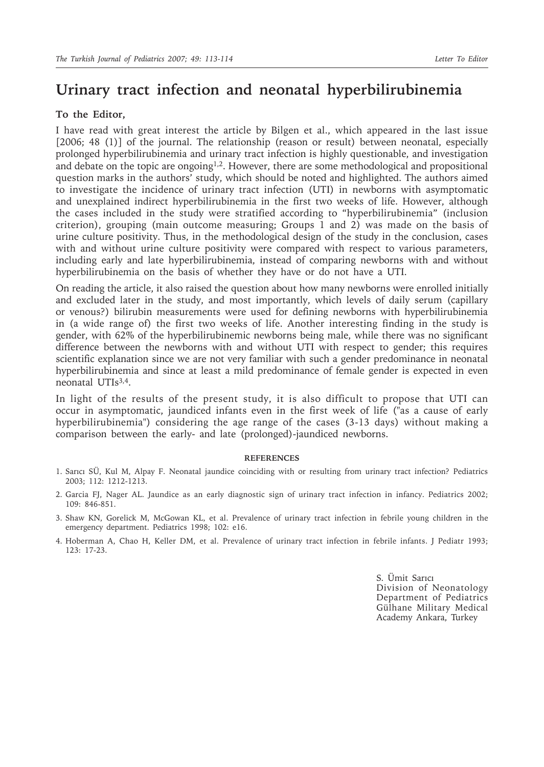# **Urinary tract infection and neonatal hyperbilirubinemia**

# **To the Editor,**

I have read with great interest the article by Bilgen et al., which appeared in the last issue [2006; 48 (1)] of the journal. The relationship (reason or result) between neonatal, especially prolonged hyperbilirubinemia and urinary tract infection is highly questionable, and investigation and debate on the topic are ongoing<sup>1,2</sup>. However, there are some methodological and propositional question marks in the authors' study, which should be noted and highlighted. The authors aimed to investigate the incidence of urinary tract infection (UTI) in newborns with asymptomatic and unexplained indirect hyperbilirubinemia in the first two weeks of life. However, although the cases included in the study were stratified according to "hyperbilirubinemia" (inclusion criterion), grouping (main outcome measuring; Groups 1 and 2) was made on the basis of urine culture positivity. Thus, in the methodological design of the study in the conclusion, cases with and without urine culture positivity were compared with respect to various parameters, including early and late hyperbilirubinemia, instead of comparing newborns with and without hyperbilirubinemia on the basis of whether they have or do not have a UTI.

On reading the article, it also raised the question about how many newborns were enrolled initially and excluded later in the study, and most importantly, which levels of daily serum (capillary or venous?) bilirubin measurements were used for defining newborns with hyperbilirubinemia in (a wide range of) the first two weeks of life. Another interesting finding in the study is gender, with 62% of the hyperbilirubinemic newborns being male, while there was no significant difference between the newborns with and without UTI with respect to gender; this requires scientific explanation since we are not very familiar with such a gender predominance in neonatal hyperbilirubinemia and since at least a mild predominance of female gender is expected in even neonatal UTIs3,4.

In light of the results of the present study, it is also difficult to propose that UTI can occur in asymptomatic, jaundiced infants even in the first week of life ("as a cause of early hyperbilirubinemia") considering the age range of the cases (3-13 days) without making a comparison between the early- and late (prolonged)-jaundiced newborns.

### **REFERENCES**

- 1. Sarıcı SÜ, Kul M, Alpay F. Neonatal jaundice coinciding with or resulting from urinary tract infection? Pediatrics 2003; 112: 1212-1213.
- 2. Garcia FJ, Nager AL. Jaundice as an early diagnostic sign of urinary tract infection in infancy. Pediatrics 2002; 109: 846-851.
- 3. Shaw KN, Gorelick M, McGowan KL, et al. Prevalence of urinary tract infection in febrile young children in the emergency department. Pediatrics 1998; 102: e16.
- 4. Hoberman A, Chao H, Keller DM, et al. Prevalence of urinary tract infection in febrile infants. J Pediatr 1993; 123: 17-23.

S. Ümit Sarıcı Division of Neonatology Department of Pediatrics Gülhane Military Medical Academy Ankara, Turkey